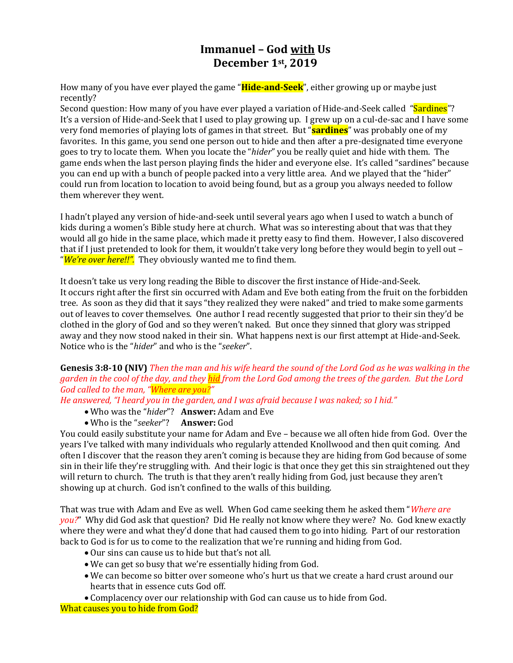# **Immanuel – God with Us December 1st, 2019**

How many of you have ever played the game "**Hide-and-Seek**", either growing up or maybe just recently?

Second question: How many of you have ever played a variation of Hide-and-Seek called "Sardines"? It's a version of Hide-and-Seek that I used to play growing up. I grew up on a cul-de-sac and I have some very fond memories of playing lots of games in that street. But "**sardines**" was probably one of my favorites. In this game, you send one person out to hide and then after a pre-designated time everyone goes to try to locate them. When you locate the "*hider*" you be really quiet and hide with them. The game ends when the last person playing finds the hider and everyone else. It's called "sardines" because you can end up with a bunch of people packed into a very little area. And we played that the "hider" could run from location to location to avoid being found, but as a group you always needed to follow them wherever they went.

I hadn't played any version of hide-and-seek until several years ago when I used to watch a bunch of kids during a women's Bible study here at church. What was so interesting about that was that they would all go hide in the same place, which made it pretty easy to find them. However, I also discovered that if I just pretended to look for them, it wouldn't take very long before they would begin to yell out -"*We're over here!!".* They obviously wanted me to find them.

It doesn't take us very long reading the Bible to discover the first instance of Hide-and-Seek. It occurs right after the first sin occurred with Adam and Eve both eating from the fruit on the forbidden tree. As soon as they did that it says "they realized they were naked" and tried to make some garments out of leaves to cover themselves. One author I read recently suggested that prior to their sin they'd be clothed in the glory of God and so they weren't naked. But once they sinned that glory was stripped away and they now stood naked in their sin. What happens next is our first attempt at Hide-and-Seek. Notice who is the "*hider*" and who is the "*seeker*".

#### **Genesis 3:8-10 (NIV)** *Then the man and his wife heard the sound of the Lord God as he was walking in the garden in the cool of the day, and they hid from the Lord God among the trees of the garden. But the Lord God called to the man, "Where are you?"*

*He answered, "I heard you in the garden, and I was afraid because I was naked; so I hid."*

- Who was the "*hider*"? **Answer:** Adam and Eve
- Who is the "*seeker*"? **Answer:** God

You could easily substitute your name for Adam and Eve – because we all often hide from God. Over the years I've talked with many individuals who regularly attended Knollwood and then quit coming. And often I discover that the reason they aren't coming is because they are hiding from God because of some sin in their life they're struggling with. And their logic is that once they get this sin straightened out they will return to church. The truth is that they aren't really hiding from God, just because they aren't showing up at church. God isn't confined to the walls of this building.

That was true with Adam and Eve as well. When God came seeking them he asked them "*Where are you?*" Why did God ask that question? Did He really not know where they were? No. God knew exactly where they were and what they'd done that had caused them to go into hiding. Part of our restoration back to God is for us to come to the realization that we're running and hiding from God.

- Our sins can cause us to hide but that's not all.
- We can get so busy that we're essentially hiding from God.
- We can become so bitter over someone who's hurt us that we create a hard crust around our hearts that in essence cuts God off.
- Complacency over our relationship with God can cause us to hide from God.

What causes you to hide from God?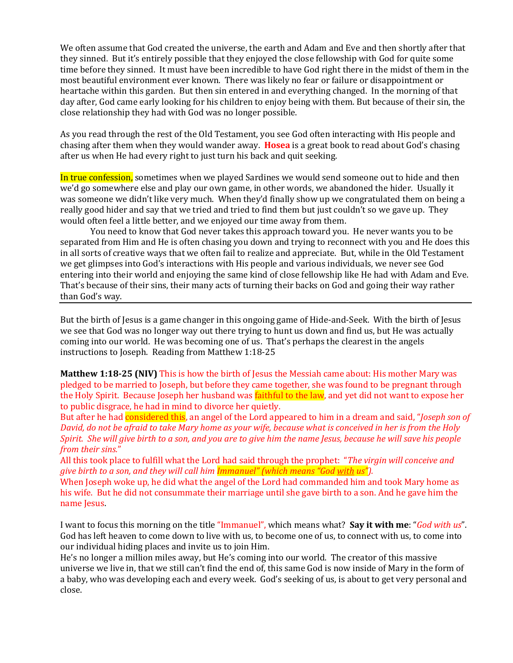We often assume that God created the universe, the earth and Adam and Eve and then shortly after that they sinned. But it's entirely possible that they enjoyed the close fellowship with God for quite some time before they sinned. It must have been incredible to have God right there in the midst of them in the most beautiful environment ever known. There was likely no fear or failure or disappointment or heartache within this garden. But then sin entered in and everything changed. In the morning of that day after, God came early looking for his children to enjoy being with them. But because of their sin, the close relationship they had with God was no longer possible.

As you read through the rest of the Old Testament, you see God often interacting with His people and chasing after them when they would wander away. **Hosea** is a great book to read about God's chasing after us when He had every right to just turn his back and quit seeking.

In true confession, sometimes when we played Sardines we would send someone out to hide and then we'd go somewhere else and play our own game, in other words, we abandoned the hider. Usually it was someone we didn't like very much. When they'd finally show up we congratulated them on being a really good hider and say that we tried and tried to find them but just couldn't so we gave up. They would often feel a little better, and we enjoyed our time away from them.

You need to know that God never takes this approach toward you. He never wants you to be separated from Him and He is often chasing you down and trying to reconnect with you and He does this in all sorts of creative ways that we often fail to realize and appreciate. But, while in the Old Testament we get glimpses into God's interactions with His people and various individuals, we never see God entering into their world and enjoying the same kind of close fellowship like He had with Adam and Eve. That's because of their sins, their many acts of turning their backs on God and going their way rather than God's way.

But the birth of Jesus is a game changer in this ongoing game of Hide-and-Seek. With the birth of Jesus we see that God was no longer way out there trying to hunt us down and find us, but He was actually coming into our world. He was becoming one of us. That's perhaps the clearest in the angels instructions to Joseph. Reading from Matthew 1:18-25

**Matthew 1:18-25 (NIV)** This is how the birth of Jesus the Messiah came about: His mother Mary was pledged to be married to Joseph, but before they came together, she was found to be pregnant through the Holy Spirit. Because Joseph her husband was faithful to the law, and yet did not want to expose her to public disgrace, he had in mind to divorce her quietly.

But after he had considered this, an angel of the Lord appeared to him in a dream and said, "*Joseph son of David, do not be afraid to take Mary home as your wife, because what is conceived in her is from the Holy Spirit. She will give birth to a son, and you are to give him the name Jesus, because he will save his people from their sins.*"

All this took place to fulfill what the Lord had said through the prophet: "*The virgin will conceive and give birth to a son, and they will call him Immanuel" (which means "God with us").*

When Joseph woke up, he did what the angel of the Lord had commanded him and took Mary home as his wife. But he did not consummate their marriage until she gave birth to a son. And he gave him the name Jesus.

I want to focus this morning on the title "Immanuel", which means what? **Say it with me**: "*God with us*". God has left heaven to come down to live with us, to become one of us, to connect with us, to come into our individual hiding places and invite us to join Him.

He's no longer a million miles away, but He's coming into our world. The creator of this massive universe we live in, that we still can't find the end of, this same God is now inside of Mary in the form of a baby, who was developing each and every week. God's seeking of us, is about to get very personal and close.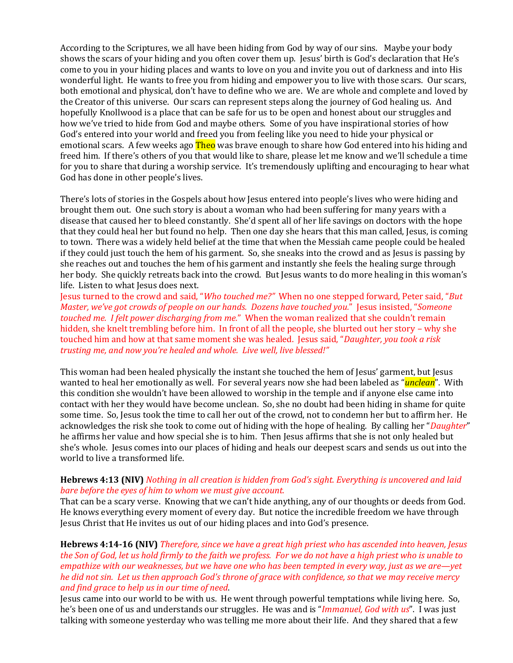According to the Scriptures, we all have been hiding from God by way of our sins. Maybe your body shows the scars of your hiding and you often cover them up. Jesus' birth is God's declaration that He's come to you in your hiding places and wants to love on you and invite you out of darkness and into His wonderful light. He wants to free you from hiding and empower you to live with those scars. Our scars, both emotional and physical, don't have to define who we are. We are whole and complete and loved by the Creator of this universe. Our scars can represent steps along the journey of God healing us. And hopefully Knollwood is a place that can be safe for us to be open and honest about our struggles and how we've tried to hide from God and maybe others. Some of you have inspirational stories of how God's entered into your world and freed you from feeling like you need to hide your physical or emotional scars. A few weeks ago **Theo** was brave enough to share how God entered into his hiding and freed him. If there's others of you that would like to share, please let me know and we'll schedule a time for you to share that during a worship service. It's tremendously uplifting and encouraging to hear what God has done in other people's lives.

There's lots of stories in the Gospels about how Jesus entered into people's lives who were hiding and brought them out. One such story is about a woman who had been suffering for many years with a disease that caused her to bleed constantly. She'd spent all of her life savings on doctors with the hope that they could heal her but found no help. Then one day she hears that this man called, Jesus, is coming to town. There was a widely held belief at the time that when the Messiah came people could be healed if they could just touch the hem of his garment. So, she sneaks into the crowd and as Jesus is passing by she reaches out and touches the hem of his garment and instantly she feels the healing surge through her body. She quickly retreats back into the crowd. But Jesus wants to do more healing in this woman's life. Listen to what Jesus does next.

Jesus turned to the crowd and said, "*Who touched me?"* When no one stepped forward, Peter said, "*But Master, we've got crowds of people on our hands. Dozens have touched you.*" Jesus insisted, "*Someone touched me. I felt power discharging from me.*" When the woman realized that she couldn't remain hidden, she knelt trembling before him. In front of all the people, she blurted out her story – why she touched him and how at that same moment she was healed. Jesus said, "*Daughter, you took a risk trusting me, and now you're healed and whole. Live well, live blessed!"*

This woman had been healed physically the instant she touched the hem of Jesus' garment, but Jesus wanted to heal her emotionally as well. For several years now she had been labeled as "*unclean*". With this condition she wouldn't have been allowed to worship in the temple and if anyone else came into contact with her they would have become unclean. So, she no doubt had been hiding in shame for quite some time. So, Jesus took the time to call her out of the crowd, not to condemn her but to affirm her. He acknowledges the risk she took to come out of hiding with the hope of healing. By calling her "*Daughter*" he affirms her value and how special she is to him. Then Jesus affirms that she is not only healed but she's whole. Jesus comes into our places of hiding and heals our deepest scars and sends us out into the world to live a transformed life.

#### **Hebrews 4:13 (NIV)** *Nothing in all creation is hidden from God's sight. Everything is uncovered and laid bare before the eyes of him to whom we must give account.*

That can be a scary verse. Knowing that we can't hide anything, any of our thoughts or deeds from God. He knows everything every moment of every day. But notice the incredible freedom we have through Jesus Christ that He invites us out of our hiding places and into God's presence.

**Hebrews 4:14-16 (NIV)** *Therefore, since we have a great high priest who has ascended into heaven, Jesus the Son of God, let us hold firmly to the faith we profess. For we do not have a high priest who is unable to empathize with our weaknesses, but we have one who has been tempted in every way, just as we are—yet he did not sin. Let us then approach God's throne of grace with confidence, so that we may receive mercy and find grace to help us in our time of need*.

Jesus came into our world to be with us. He went through powerful temptations while living here. So, he's been one of us and understands our struggles. He was and is "*Immanuel, God with us*". I was just talking with someone yesterday who was telling me more about their life. And they shared that a few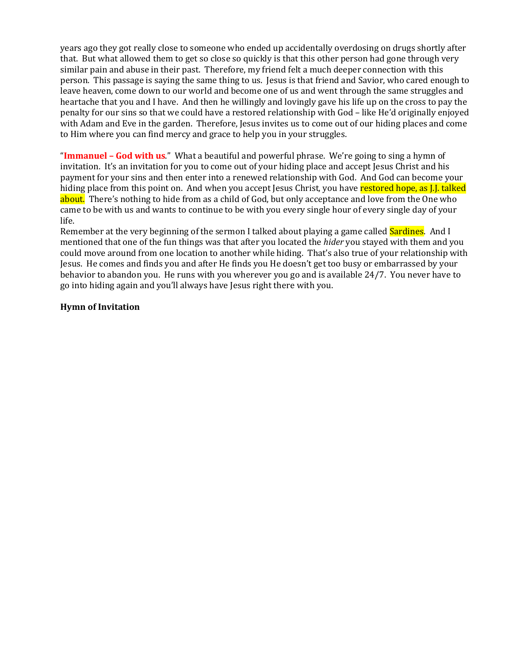years ago they got really close to someone who ended up accidentally overdosing on drugs shortly after that. But what allowed them to get so close so quickly is that this other person had gone through very similar pain and abuse in their past. Therefore, my friend felt a much deeper connection with this person. This passage is saying the same thing to us. Jesus is that friend and Savior, who cared enough to leave heaven, come down to our world and become one of us and went through the same struggles and heartache that you and I have. And then he willingly and lovingly gave his life up on the cross to pay the penalty for our sins so that we could have a restored relationship with God – like He'd originally enjoyed with Adam and Eve in the garden. Therefore, Jesus invites us to come out of our hiding places and come to Him where you can find mercy and grace to help you in your struggles.

"**Immanuel – God with us**." What a beautiful and powerful phrase. We're going to sing a hymn of invitation. It's an invitation for you to come out of your hiding place and accept Jesus Christ and his payment for your sins and then enter into a renewed relationship with God. And God can become your hiding place from this point on. And when you accept Jesus Christ, you have restored hope, as J.J. talked about. There's nothing to hide from as a child of God, but only acceptance and love from the One who came to be with us and wants to continue to be with you every single hour of every single day of your life.

Remember at the very beginning of the sermon I talked about playing a game called **Sardines**. And I mentioned that one of the fun things was that after you located the *hider* you stayed with them and you could move around from one location to another while hiding. That's also true of your relationship with Jesus. He comes and finds you and after He finds you He doesn't get too busy or embarrassed by your behavior to abandon you. He runs with you wherever you go and is available 24/7. You never have to go into hiding again and you'll always have Jesus right there with you.

#### **Hymn of Invitation**